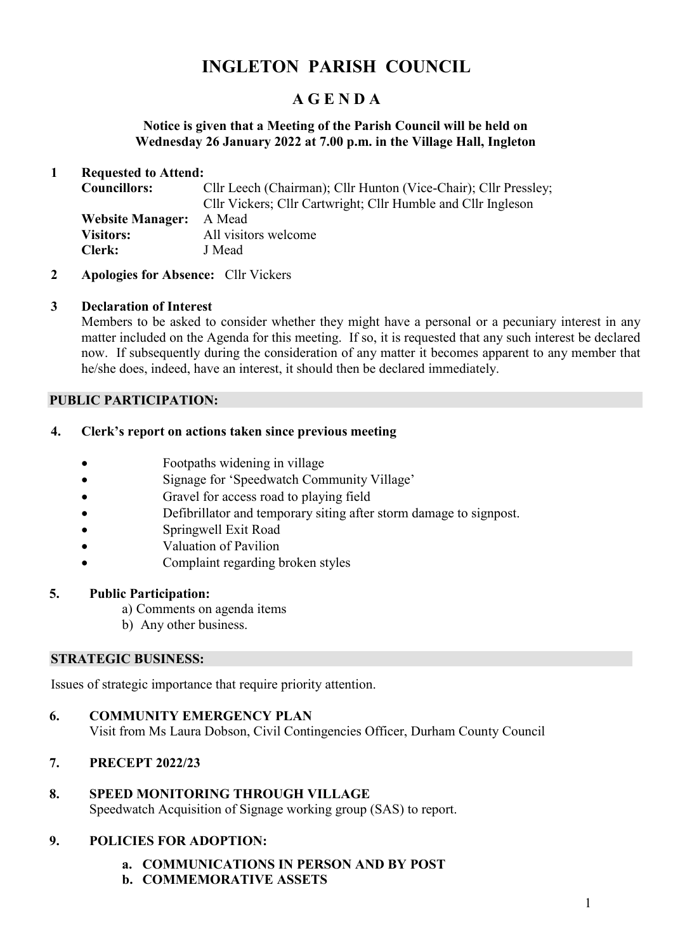# **INGLETON PARISH COUNCIL**

## **A G E N D A**

#### **Notice is given that a Meeting of the Parish Council will be held on Wednesday 26 January 2022 at 7.00 p.m. in the Village Hall, Ingleton**

#### **1 Requested to Attend:**

| <b>Councillors:</b>            | Cllr Leech (Chairman); Cllr Hunton (Vice-Chair); Cllr Pressley;<br>Cllr Vickers; Cllr Cartwright; Cllr Humble and Cllr Ingleson |
|--------------------------------|---------------------------------------------------------------------------------------------------------------------------------|
| <b>Website Manager:</b> A Mead |                                                                                                                                 |
| <b>Visitors:</b>               | All visitors welcome                                                                                                            |
| <b>Clerk:</b>                  | J Mead                                                                                                                          |

**2 Apologies for Absence:** Cllr Vickers

## **3 Declaration of Interest**

Members to be asked to consider whether they might have a personal or a pecuniary interest in any matter included on the Agenda for this meeting. If so, it is requested that any such interest be declared now. If subsequently during the consideration of any matter it becomes apparent to any member that he/she does, indeed, have an interest, it should then be declared immediately.

## **PUBLIC PARTICIPATION:**

## **4. Clerk's report on actions taken since previous meeting**

- Footpaths widening in village
- Signage for 'Speedwatch Community Village'
- Gravel for access road to playing field
- Defibrillator and temporary siting after storm damage to signpost.
- Springwell Exit Road
- Valuation of Pavilion
- Complaint regarding broken styles

## **5. Public Participation:**

- a) Comments on agenda items
- b) Any other business.

#### **STRATEGIC BUSINESS:**

Issues of strategic importance that require priority attention.

## **6. COMMUNITY EMERGENCY PLAN**

Visit from Ms Laura Dobson, Civil Contingencies Officer, Durham County Council

## **7. PRECEPT 2022/23**

#### **8. SPEED MONITORING THROUGH VILLAGE**

Speedwatch Acquisition of Signage working group (SAS) to report.

## **9. POLICIES FOR ADOPTION:**

- **a. COMMUNICATIONS IN PERSON AND BY POST**
- **b. COMMEMORATIVE ASSETS**